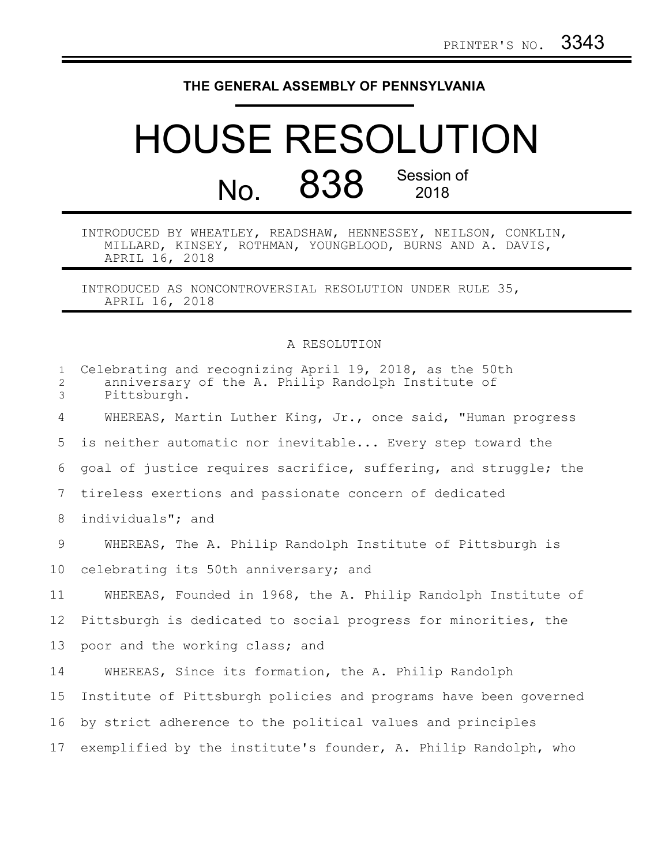## **THE GENERAL ASSEMBLY OF PENNSYLVANIA**

## HOUSE RESOLUTION No. 838 Session of 2018

## INTRODUCED BY WHEATLEY, READSHAW, HENNESSEY, NEILSON, CONKLIN, MILLARD, KINSEY, ROTHMAN, YOUNGBLOOD, BURNS AND A. DAVIS, APRIL 16, 2018

INTRODUCED AS NONCONTROVERSIAL RESOLUTION UNDER RULE 35, APRIL 16, 2018

## A RESOLUTION

| $\mathbf{1}$<br>$\overline{2}$<br>3 | Celebrating and recognizing April 19, 2018, as the 50th<br>anniversary of the A. Philip Randolph Institute of<br>Pittsburgh. |
|-------------------------------------|------------------------------------------------------------------------------------------------------------------------------|
| 4                                   | WHEREAS, Martin Luther King, Jr., once said, "Human progress                                                                 |
| 5                                   | is neither automatic nor inevitable Every step toward the                                                                    |
| 6                                   | goal of justice requires sacrifice, suffering, and struggle; the                                                             |
| 7                                   | tireless exertions and passionate concern of dedicated                                                                       |
| 8                                   | individuals"; and                                                                                                            |
| 9                                   | WHEREAS, The A. Philip Randolph Institute of Pittsburgh is                                                                   |
| 10 <sub>o</sub>                     | celebrating its 50th anniversary; and                                                                                        |
| 11                                  | WHEREAS, Founded in 1968, the A. Philip Randolph Institute of                                                                |
| 12                                  | Pittsburgh is dedicated to social progress for minorities, the                                                               |
| 13                                  | poor and the working class; and                                                                                              |
| 14                                  | WHEREAS, Since its formation, the A. Philip Randolph                                                                         |
| 15                                  | Institute of Pittsburgh policies and programs have been governed                                                             |
| 16                                  | by strict adherence to the political values and principles                                                                   |
| 17                                  | exemplified by the institute's founder, A. Philip Randolph, who                                                              |